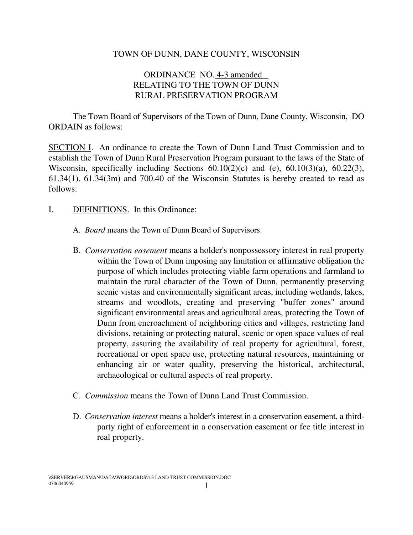## TOWN OF DUNN, DANE COUNTY, WISCONSIN

## ORDINANCE NO. 4-3 amended RELATING TO THE TOWN OF DUNN RURAL PRESERVATION PROGRAM

The Town Board of Supervisors of the Town of Dunn, Dane County, Wisconsin, DO ORDAIN as follows:

SECTION I. An ordinance to create the Town of Dunn Land Trust Commission and to establish the Town of Dunn Rural Preservation Program pursuant to the laws of the State of Wisconsin, specifically including Sections 60.10(2)(c) and (e), 60.10(3)(a), 60.22(3), 61.34(1), 61.34(3m) and 700.40 of the Wisconsin Statutes is hereby created to read as follows:

- I. DEFINITIONS. In this Ordinance:
	- A. *Board* means the Town of Dunn Board of Supervisors.
	- B. *Conservation easement* means a holder's nonpossessory interest in real property within the Town of Dunn imposing any limitation or affirmative obligation the purpose of which includes protecting viable farm operations and farmland to maintain the rural character of the Town of Dunn, permanently preserving scenic vistas and environmentally significant areas, including wetlands, lakes, streams and woodlots, creating and preserving "buffer zones" around significant environmental areas and agricultural areas, protecting the Town of Dunn from encroachment of neighboring cities and villages, restricting land divisions, retaining or protecting natural, scenic or open space values of real property, assuring the availability of real property for agricultural, forest, recreational or open space use, protecting natural resources, maintaining or enhancing air or water quality, preserving the historical, architectural, archaeological or cultural aspects of real property.
	- C. *Commission* means the Town of Dunn Land Trust Commission.
	- D. *Conservation interest* means a holder's interest in a conservation easement, a thirdparty right of enforcement in a conservation easement or fee title interest in real property.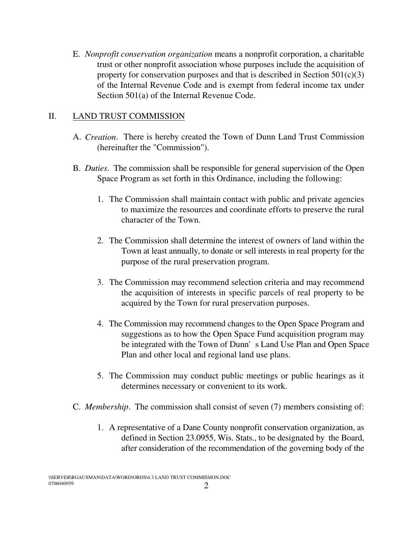E. *Nonprofit conservation organization* means a nonprofit corporation, a charitable trust or other nonprofit association whose purposes include the acquisition of property for conservation purposes and that is described in Section  $501(c)(3)$ of the Internal Revenue Code and is exempt from federal income tax under Section 501(a) of the Internal Revenue Code.

## II. LAND TRUST COMMISSION

- A. *Creation*. There is hereby created the Town of Dunn Land Trust Commission (hereinafter the "Commission").
- B. *Duties*. The commission shall be responsible for general supervision of the Open Space Program as set forth in this Ordinance, including the following:
	- 1. The Commission shall maintain contact with public and private agencies to maximize the resources and coordinate efforts to preserve the rural character of the Town.
	- 2. The Commission shall determine the interest of owners of land within the Town at least annually, to donate or sell interests in real property for the purpose of the rural preservation program.
	- 3. The Commission may recommend selection criteria and may recommend the acquisition of interests in specific parcels of real property to be acquired by the Town for rural preservation purposes.
	- 4. The Commission may recommend changes to the Open Space Program and suggestions as to how the Open Space Fund acquisition program may be integrated with the Town of Dunn's Land Use Plan and Open Space Plan and other local and regional land use plans.
	- 5. The Commission may conduct public meetings or public hearings as it determines necessary or convenient to its work.
- C. *Membership*. The commission shall consist of seven (7) members consisting of:
	- 1. A representative of a Dane County nonprofit conservation organization, as defined in Section 23.0955, Wis. Stats., to be designated by the Board, after consideration of the recommendation of the governing body of the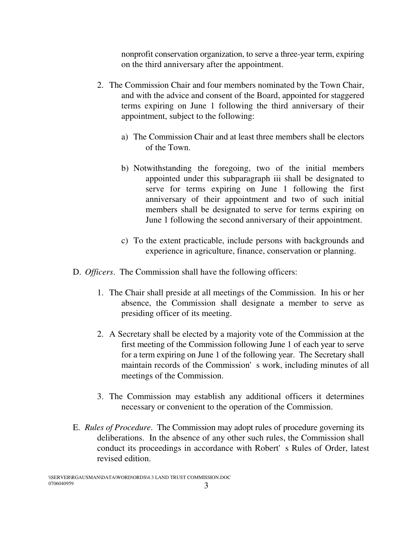nonprofit conservation organization, to serve a three-year term, expiring on the third anniversary after the appointment.

- 2. The Commission Chair and four members nominated by the Town Chair, and with the advice and consent of the Board, appointed for staggered terms expiring on June 1 following the third anniversary of their appointment, subject to the following:
	- a) The Commission Chair and at least three members shall be electors of the Town.
	- b) Notwithstanding the foregoing, two of the initial members appointed under this subparagraph iii shall be designated to serve for terms expiring on June 1 following the first anniversary of their appointment and two of such initial members shall be designated to serve for terms expiring on June 1 following the second anniversary of their appointment.
	- c) To the extent practicable, include persons with backgrounds and experience in agriculture, finance, conservation or planning.
- D. *Officers*. The Commission shall have the following officers:
	- 1. The Chair shall preside at all meetings of the Commission. In his or her absence, the Commission shall designate a member to serve as presiding officer of its meeting.
	- 2. A Secretary shall be elected by a majority vote of the Commission at the first meeting of the Commission following June 1 of each year to serve for a term expiring on June 1 of the following year. The Secretary shall maintain records of the Commission's work, including minutes of all meetings of the Commission.
	- 3. The Commission may establish any additional officers it determines necessary or convenient to the operation of the Commission.
- E. *Rules of Procedure*. The Commission may adopt rules of procedure governing its deliberations. In the absence of any other such rules, the Commission shall conduct its proceedings in accordance with Robert's Rules of Order, latest revised edition.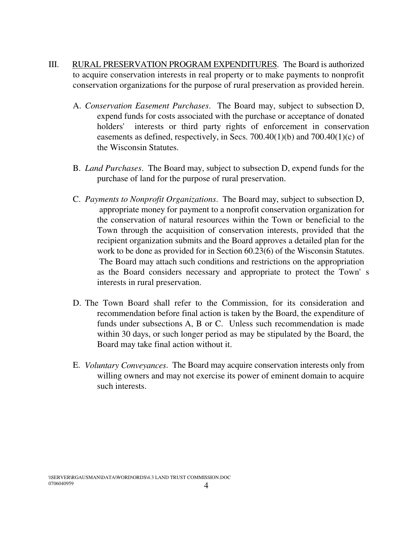- III. RURAL PRESERVATION PROGRAM EXPENDITURES. The Board is authorized to acquire conservation interests in real property or to make payments to nonprofit conservation organizations for the purpose of rural preservation as provided herein.
	- A. *Conservation Easement Purchases*. The Board may, subject to subsection D, expend funds for costs associated with the purchase or acceptance of donated holders' interests or third party rights of enforcement in conservation easements as defined, respectively, in Secs. 700.40(1)(b) and 700.40(1)(c) of the Wisconsin Statutes.
	- B. *Land Purchases*. The Board may, subject to subsection D, expend funds for the purchase of land for the purpose of rural preservation.
	- C. *Payments to Nonprofit Organizations*. The Board may, subject to subsection D, appropriate money for payment to a nonprofit conservation organization for the conservation of natural resources within the Town or beneficial to the Town through the acquisition of conservation interests, provided that the recipient organization submits and the Board approves a detailed plan for the work to be done as provided for in Section 60.23(6) of the Wisconsin Statutes. The Board may attach such conditions and restrictions on the appropriation as the Board considers necessary and appropriate to protect the Town's interests in rural preservation.
	- D. The Town Board shall refer to the Commission, for its consideration and recommendation before final action is taken by the Board, the expenditure of funds under subsections A, B or C. Unless such recommendation is made within 30 days, or such longer period as may be stipulated by the Board, the Board may take final action without it.
	- E. *Voluntary Conveyances*. The Board may acquire conservation interests only from willing owners and may not exercise its power of eminent domain to acquire such interests.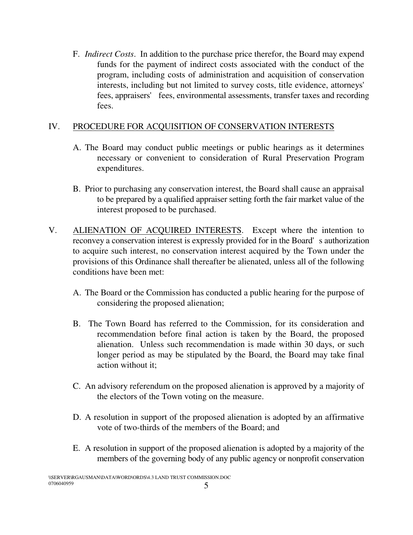F. *Indirect Costs*. In addition to the purchase price therefor, the Board may expend funds for the payment of indirect costs associated with the conduct of the program, including costs of administration and acquisition of conservation interests, including but not limited to survey costs, title evidence, attorneys' fees, appraisers' fees, environmental assessments, transfer taxes and recording fees.

## IV. PROCEDURE FOR ACQUISITION OF CONSERVATION INTERESTS

- A. The Board may conduct public meetings or public hearings as it determines necessary or convenient to consideration of Rural Preservation Program expenditures.
- B. Prior to purchasing any conservation interest, the Board shall cause an appraisal to be prepared by a qualified appraiser setting forth the fair market value of the interest proposed to be purchased.
- V. ALIENATION OF ACQUIRED INTERESTS. Except where the intention to reconvey a conservation interest is expressly provided for in the Board's authorization to acquire such interest, no conservation interest acquired by the Town under the provisions of this Ordinance shall thereafter be alienated, unless all of the following conditions have been met:
	- A. The Board or the Commission has conducted a public hearing for the purpose of considering the proposed alienation;
	- B. The Town Board has referred to the Commission, for its consideration and recommendation before final action is taken by the Board, the proposed alienation. Unless such recommendation is made within 30 days, or such longer period as may be stipulated by the Board, the Board may take final action without it;
	- C. An advisory referendum on the proposed alienation is approved by a majority of the electors of the Town voting on the measure.
	- D. A resolution in support of the proposed alienation is adopted by an affirmative vote of two-thirds of the members of the Board; and
	- E. A resolution in support of the proposed alienation is adopted by a majority of the members of the governing body of any public agency or nonprofit conservation

\\SERVER\RGAUSMAN\DATA\WORD\ORDS\4.3 LAND TRUST COMMISSION.DOC 0706040959  $0706040959$  5